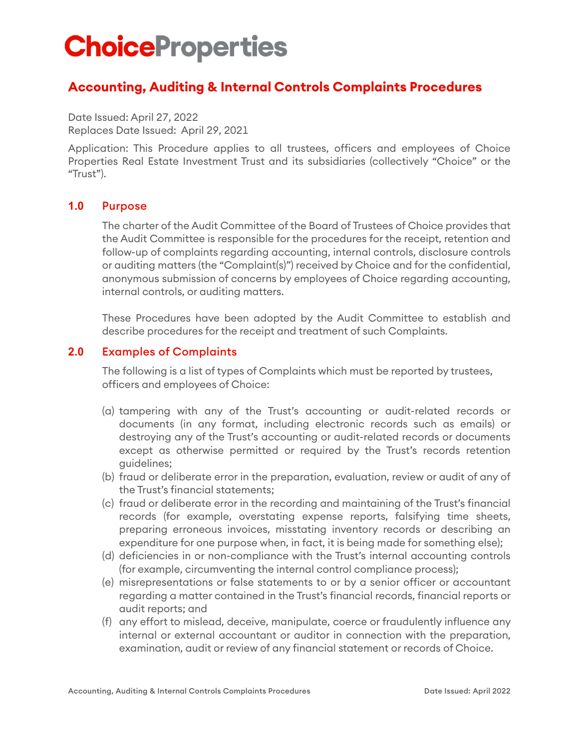# **ChoiceProperties**

# **Accounting, Auditing & Internal Controls Complaints Procedures**

Date Issued: April 27, 2022 Replaces Date Issued: April 29, 2021

Application: This Procedure applies to all trustees, officers and employees of Choice Properties Real Estate Investment Trust and its subsidiaries (collectively "Choice" or the "Trust").

#### **1.0** Purpose

The charter of the Audit Committee of the Board of Trustees of Choice provides that the Audit Committee is responsible for the procedures for the receipt, retention and follow-up of complaints regarding accounting, internal controls, disclosure controls or auditing matters (the "Complaint(s)") received by Choice and for the confidential, anonymous submission of concerns by employees of Choice regarding accounting, internal controls, or auditing matters.

These Procedures have been adopted by the Audit Committee to establish and describe procedures for the receipt and treatment of such Complaints.

# **2.0** Examples of Complaints

The following is a list of types of Complaints which must be reported by trustees, officers and employees of Choice:

- (a) tampering with any of the Trust's accounting or audit-related records or documents (in any format, including electronic records such as emails) or destroying any of the Trust's accounting or audit-related records or documents except as otherwise permitted or required by the Trust's records retention guidelines;
- (b) fraud or deliberate error in the preparation, evaluation, review or audit of any of the Trust's financial statements;
- (c) fraud or deliberate error in the recording and maintaining of the Trust's financial records (for example, overstating expense reports, falsifying time sheets, preparing erroneous invoices, misstating inventory records or describing an expenditure for one purpose when, in fact, it is being made for something else);
- (d) deficiencies in or non-compliance with the Trust's internal accounting controls (for example, circumventing the internal control compliance process);
- (e) misrepresentations or false statements to or by a senior officer or accountant regarding a matter contained in the Trust's financial records, financial reports or audit reports; and
- (f) any effort to mislead, deceive, manipulate, coerce or fraudulently influence any internal or external accountant or auditor in connection with the preparation, examination, audit or review of any financial statement or records of Choice.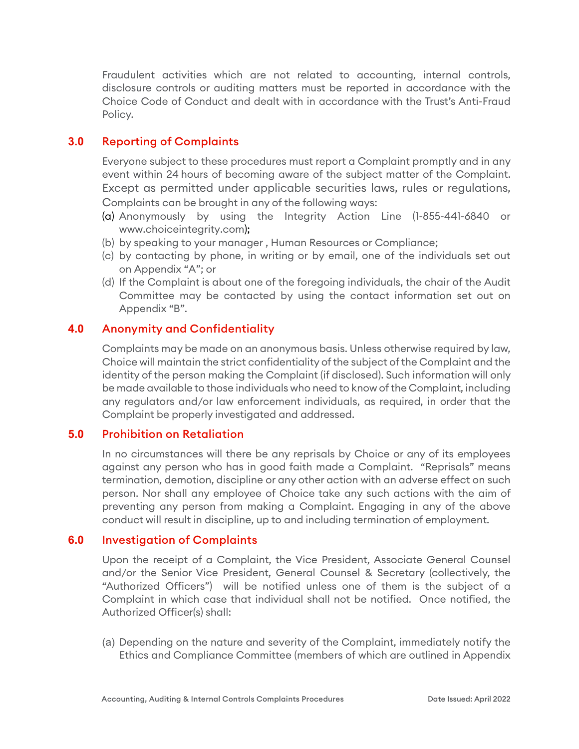Fraudulent activities which are not related to accounting, internal controls, disclosure controls or auditing matters must be reported in accordance with the Choice Code of Conduct and dealt with in accordance with the Trust's Anti-Fraud Policy.

# **3.0** Reporting of Complaints

Everyone subject to these procedures must report a Complaint promptly and in any event within 24 hours of becoming aware of the subject matter of the Complaint. Except as permitted under applicable securities laws, rules or regulations, Complaints can be brought in any of the following ways:

- (a) Anonymously by using the Integrity Action Line (1-855-441-6840 or www.choiceintegrity.com);
- (b) by speaking to your manager , Human Resources or Compliance;
- (c) by contacting by phone, in writing or by email, one of the individuals set out on Appendix "A"; or
- (d) If the Complaint is about one of the foregoing individuals, the chair of the Audit Committee may be contacted by using the contact information set out on Appendix "B".

# **4.0** Anonymity and Confidentiality

Complaints may be made on an anonymous basis. Unless otherwise required by law, Choice will maintain the strict confidentiality of the subject of the Complaint and the identity of the person making the Complaint (if disclosed). Such information will only be made available to those individuals who need to know of the Complaint, including any regulators and/or law enforcement individuals, as required, in order that the Complaint be properly investigated and addressed.

### **5.0** Prohibition on Retaliation

In no circumstances will there be any reprisals by Choice or any of its employees against any person who has in good faith made a Complaint. "Reprisals" means termination, demotion, discipline or any other action with an adverse effect on such person. Nor shall any employee of Choice take any such actions with the aim of preventing any person from making a Complaint. Engaging in any of the above conduct will result in discipline, up to and including termination of employment.

#### **6.0** Investigation of Complaints

Upon the receipt of a Complaint, the Vice President, Associate General Counsel and/or the Senior Vice President, General Counsel & Secretary (collectively, the "Authorized Officers") will be notified unless one of them is the subject of a Complaint in which case that individual shall not be notified. Once notified, the Authorized Officer(s) shall:

(a) Depending on the nature and severity of the Complaint, immediately notify the Ethics and Compliance Committee (members of which are outlined in Appendix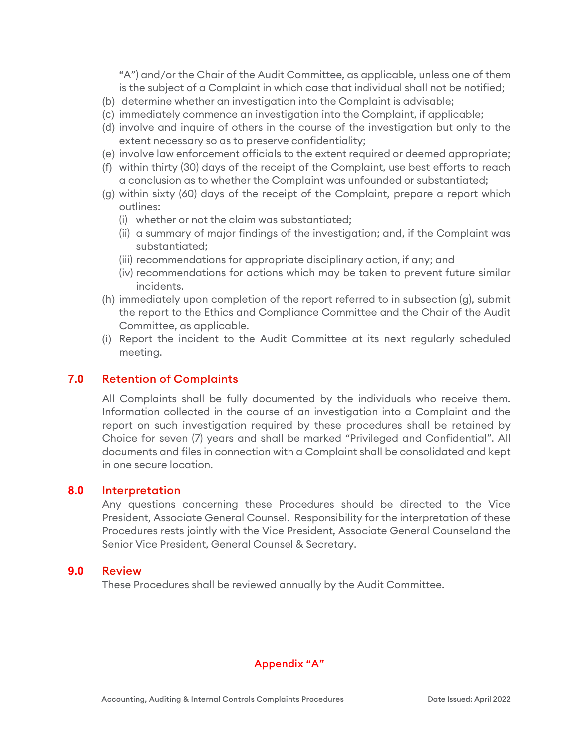"A") and/or the Chair of the Audit Committee, as applicable, unless one of them is the subject of a Complaint in which case that individual shall not be notified;

- (b) determine whether an investigation into the Complaint is advisable;
- (c) immediately commence an investigation into the Complaint, if applicable;
- (d) involve and inquire of others in the course of the investigation but only to the extent necessary so as to preserve confidentiality;
- (e) involve law enforcement officials to the extent required or deemed appropriate;
- (f) within thirty (30) days of the receipt of the Complaint, use best efforts to reach a conclusion as to whether the Complaint was unfounded or substantiated;
- (g) within sixty (60) days of the receipt of the Complaint, prepare a report which outlines:
	- (i) whether or not the claim was substantiated;
	- (ii) a summary of major findings of the investigation; and, if the Complaint was substantiated;
	- (iii) recommendations for appropriate disciplinary action, if any; and
	- (iv) recommendations for actions which may be taken to prevent future similar incidents.
- (h) immediately upon completion of the report referred to in subsection (g), submit the report to the Ethics and Compliance Committee and the Chair of the Audit Committee, as applicable.
- (i) Report the incident to the Audit Committee at its next regularly scheduled meeting.

# **7.0** Retention of Complaints

All Complaints shall be fully documented by the individuals who receive them. Information collected in the course of an investigation into a Complaint and the report on such investigation required by these procedures shall be retained by Choice for seven (7) years and shall be marked "Privileged and Confidential". All documents and files in connection with a Complaint shall be consolidated and kept in one secure location.

#### **8.0** Interpretation

Any questions concerning these Procedures should be directed to the Vice President, Associate General Counsel. Responsibility for the interpretation of these Procedures rests jointly with the Vice President, Associate General Counseland the Senior Vice President, General Counsel & Secretary.

#### **9.0** Review

These Procedures shall be reviewed annually by the Audit Committee.

#### Appendix "A"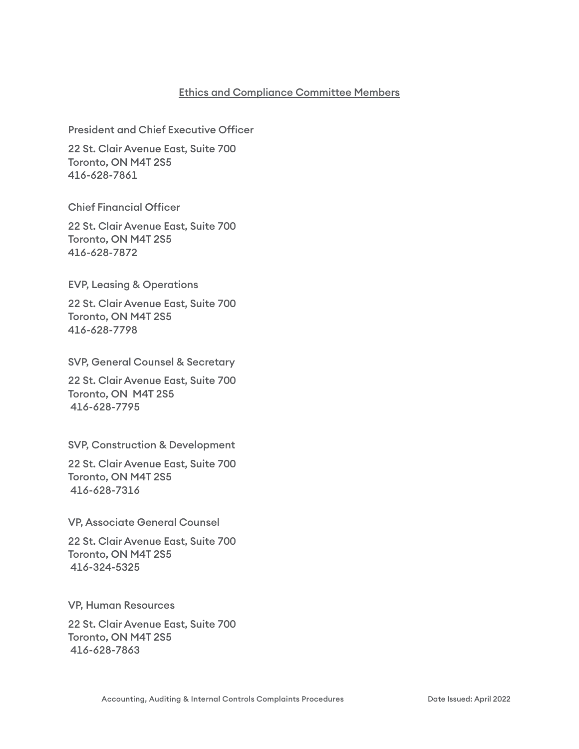#### Ethics and Compliance Committee Members

President and Chief Executive Officer

22 St. Clair Avenue East, Suite 700 Toronto, ON M4T 2S5 416-628-7861

Chief Financial Officer

22 St. Clair Avenue East, Suite 700 Toronto, ON M4T 2S5 416-628-7872

EVP, Leasing & Operations

22 St. Clair Avenue East, Suite 700 Toronto, ON M4T 2S5 416-628-7798

SVP, General Counsel & Secretary

22 St. Clair Avenue East, Suite 700 Toronto, ON M4T 2S5 416-628-7795

SVP, Construction & Development

22 St. Clair Avenue East, Suite 700 Toronto, ON M4T 2S5 416-628-7316

VP, Associate General Counsel

22 St. Clair Avenue East, Suite 700 Toronto, ON M4T 2S5 416-324-5325

VP, Human Resources

22 St. Clair Avenue East, Suite 700 Toronto, ON M4T 2S5 416-628-7863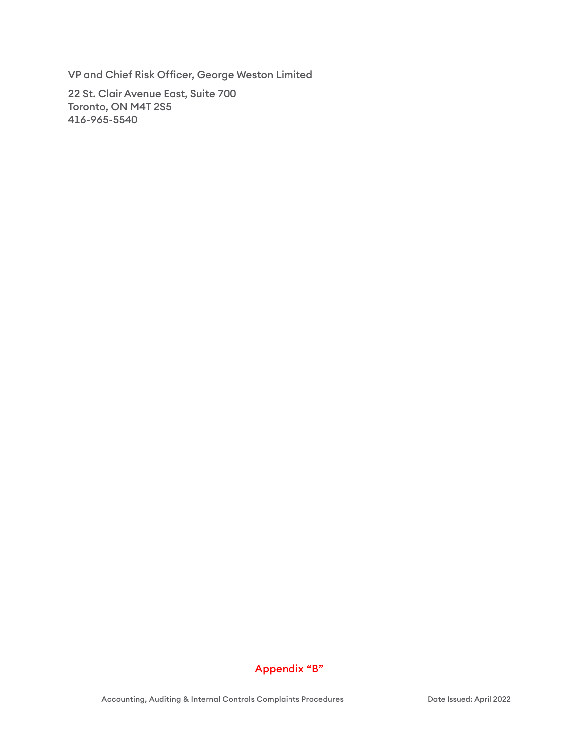VP and Chief Risk Officer, George Weston Limited

22 St. Clair Avenue East, Suite 700 Toronto, ON M4T 2S5 416-965-5540



Accounting, Auditing & Internal Controls Complaints Procedures **Date Issued: April 2022**